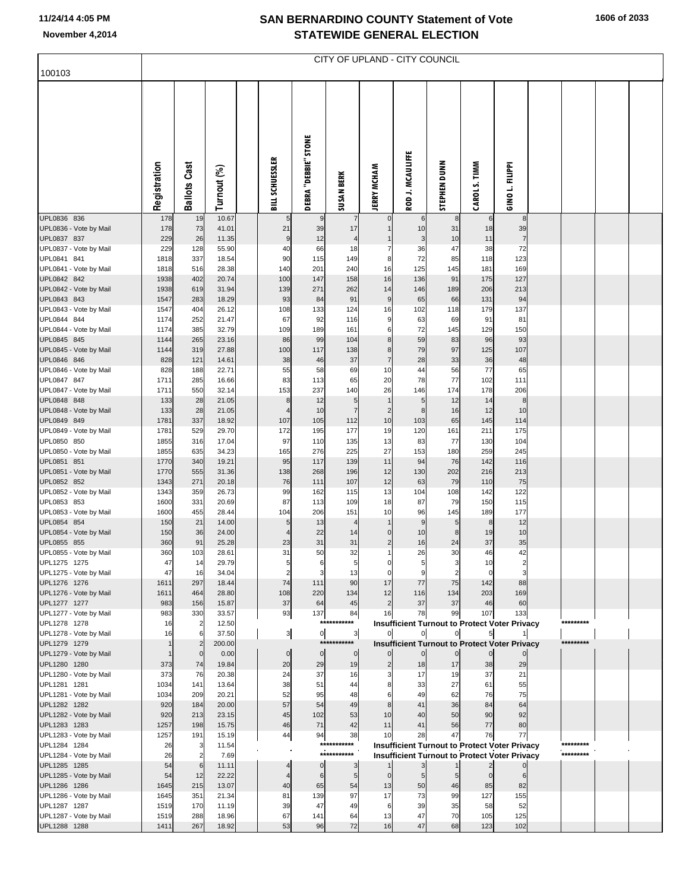## **SAN BERNARDINO COUNTY Statement of Vote November 4,2014 STATEWIDE GENERAL ELECTION**

| 100103                                 | CITY OF UPLAND - CITY COUNCIL |                     |                 |  |                 |                       |                       |                            |                                                                                                              |                |                   |                                           |  |                        |  |
|----------------------------------------|-------------------------------|---------------------|-----------------|--|-----------------|-----------------------|-----------------------|----------------------------|--------------------------------------------------------------------------------------------------------------|----------------|-------------------|-------------------------------------------|--|------------------------|--|
|                                        |                               |                     |                 |  |                 |                       |                       |                            |                                                                                                              |                |                   |                                           |  |                        |  |
|                                        | Registration                  | <b>Ballots Cast</b> | Turnout (%)     |  | BILL SCHUESSLER | DEBRA "DEBBIE" STONE  | <b>SUSAN BERK</b>     | <b>JERRY MCHAM</b>         | ROD J. MCAULIFFE                                                                                             | STEPHEN DUNN   | CAROL S. TIMM     | GINO L. FILIPPI                           |  |                        |  |
| UPL0836 836                            | 178                           | 19                  | 10.67           |  | 5               | 9                     |                       |                            | 6                                                                                                            | 8              | 6                 | 8                                         |  |                        |  |
| UPL0836 - Vote by Mail<br>UPL0837 837  | 178<br>229                    | 73<br>26            | 41.01<br>11.35  |  | 21<br>9         | 39<br>12              | 17<br>4               |                            | 10<br>3                                                                                                      | 31<br>10       | 18<br>11          | 39<br>$\overline{7}$                      |  |                        |  |
| UPL0837 - Vote by Mail                 | 229                           | 128                 | 55.90           |  | 40              | 66                    | 18                    | 7                          | 36                                                                                                           | 47             | 38                | 72                                        |  |                        |  |
| UPL0841 841<br>UPL0841 - Vote by Mail  | 1818<br>1818                  | 337<br>516          | 18.54<br>28.38  |  | 90<br>140       | 115<br>201            | 149<br>240            | 8<br>16                    | 72<br>125                                                                                                    | 85<br>145      | 118<br>181        | 123<br>169                                |  |                        |  |
| UPL0842 842                            | 1938                          | 402                 | 20.74           |  | 100             | 147                   | 158                   | 16                         | 136                                                                                                          | 91             | 175               | 127                                       |  |                        |  |
| UPL0842 - Vote by Mail                 | 1938                          | 619                 | 31.94           |  | 139             | 271                   | 262                   | 14                         | 146                                                                                                          | 189            | 206               | 213                                       |  |                        |  |
| UPL0843 843<br>UPL0843 - Vote by Mail  | 1547<br>1547                  | 283<br>404          | 18.29<br>26.12  |  | 93<br>108       | 84<br>133             | 91<br>124             | $\boldsymbol{9}$<br>16     | 65<br>102                                                                                                    | 66<br>118      | 131<br>179        | 94<br>137                                 |  |                        |  |
| UPL0844 844                            | 1174                          | 252                 | 21.47           |  | 67              | 92                    | 116                   | 9                          | 63                                                                                                           | 69             | 91                | 81                                        |  |                        |  |
| UPL0844 - Vote by Mail<br>UPL0845 845  | 1174<br>1144                  | 385<br>265          | 32.79<br>23.16  |  | 109             | 189                   | 161<br>104            | 6<br>8 <sup>1</sup>        | 72<br>59                                                                                                     | 145            | 129<br>96         | 150<br>93                                 |  |                        |  |
| UPL0845 - Vote by Mail                 | 1144                          | 319                 | 27.88           |  | 86<br>100       | 99<br>117             | 138                   | 8 <sup>1</sup>             | 79                                                                                                           | 83<br>97       | 125               | 107                                       |  |                        |  |
| UPL0846 846                            | 828                           | 121                 | 14.61           |  | 38              | 46                    | 37                    | $\overline{7}$             | 28                                                                                                           | 33             | 36                | 48                                        |  |                        |  |
| UPL0846 - Vote by Mail<br>UPL0847 847  | 828<br>1711                   | 188<br>285          | 22.71<br>16.66  |  | 55<br>83        | 58<br>113             | 69<br>65              | 10<br>20                   | 44<br>78                                                                                                     | 56<br>77       | 77<br>102         | 65<br>111                                 |  |                        |  |
| UPL0847 - Vote by Mail                 | 1711                          | 550                 | 32.14           |  | 153             | 237                   | 140                   | 26                         | 146                                                                                                          | 174            | 178               | 206                                       |  |                        |  |
| UPL0848 848                            | 133                           | 28                  | 21.05           |  | g               | 12                    | 5                     | $\mathbf{1}$               | 5                                                                                                            | 12             | 14                | 8                                         |  |                        |  |
| UPL0848 - Vote by Mail<br>UPL0849 849  | 133<br>1781                   | 28<br>337           | 21.05<br>18.92  |  | 4<br>107        | 10<br>105             | $\overline{7}$<br>112 | $\overline{c}$<br>10       | 8<br>103                                                                                                     | 16<br>65       | 12<br>145         | 10<br>114                                 |  |                        |  |
| UPL0849 - Vote by Mail                 | 1781                          | 529                 | 29.70           |  | 172             | 195                   | 177                   | 19                         | 120                                                                                                          | 161            | 211               | 175                                       |  |                        |  |
| UPL0850 850                            | 1855                          | 316                 | 17.04<br>34.23  |  | 97              | 110                   | 135                   | 13<br>27                   | 83                                                                                                           | 77             | 130               | 104<br>245                                |  |                        |  |
| UPL0850 - Vote by Mail<br>UPL0851 851  | 1855<br>1770                  | 635<br>340          | 19.21           |  | 165<br>95       | 276<br>117            | 225<br>139            | 11                         | 153<br>94                                                                                                    | 180<br>76      | 259<br>142        | 116                                       |  |                        |  |
| UPL0851 - Vote by Mail                 | 1770                          | 555                 | 31.36           |  | 138             | 268                   | 196                   | 12                         | 130                                                                                                          | 202            | 216               | 213                                       |  |                        |  |
| UPL0852 852<br>UPL0852 - Vote by Mail  | 1343<br>1343                  | 271<br>359          | 20.18<br>26.73  |  | 76<br>99        | 111<br>162            | 107<br>115            | 12<br>13                   | 63<br>104                                                                                                    | 79<br>108      | 110<br>142        | 75<br>122                                 |  |                        |  |
| UPL0853 853                            | 1600                          | 331                 | 20.69           |  | 87              | 113                   | 109                   | 18                         | 87                                                                                                           | 79             | 150               | 115                                       |  |                        |  |
| UPL0853 - Vote by Mail                 | 1600                          | 455                 | 28.44           |  | 104             | 206                   | 151                   | 10                         | 96                                                                                                           | 145            | 189               | 177                                       |  |                        |  |
| UPL0854 854<br>UPL0854 - Vote by Mail  | 150<br>150                    | 21<br>36            | 14.00<br>24.00  |  | 5<br>4          | 13<br>22              | 4<br>14               | $\overline{0}$             | 9<br>10                                                                                                      | 5<br>8         | 8<br>19           | 12<br>10                                  |  |                        |  |
| UPL0855 855                            | 360                           | 91                  | 25.28           |  | 23              | 31                    | 31                    | $\overline{2}$             | 16                                                                                                           | 24             | 37                | $35\,$                                    |  |                        |  |
| UPL0855 - Vote by Mail                 | 360                           | 103                 | 28.61           |  | 31              | 50                    | 32                    | $\mathbf{1}$               | 26                                                                                                           | 30             | 46                | 42                                        |  |                        |  |
| UPL1275 1275<br>UPL1275 - Vote by Mail | 47<br>47                      | 14<br>16            | 29.79<br>34.04  |  | $\overline{2}$  |                       | 13                    | $\mathbf 0$<br>$\mathbf 0$ | 9                                                                                                            |                | 10<br>$\mathbf 0$ | $\overline{2}$<br>$\overline{\mathbf{3}}$ |  |                        |  |
| UPL1276 1276                           | 1611                          | 297                 | 18.44           |  | 74              | 111                   | 90                    | 17                         | 77                                                                                                           | 75             | 142               | 88                                        |  |                        |  |
| UPL1276 - Vote by Mail<br>UPL1277 1277 | 1611<br>983                   | 464<br>156          | 28.80<br>15.87  |  | 108<br>37       | 220<br>64             | 134<br>45             | 12<br>$\overline{2}$       | 116<br>37                                                                                                    | 134<br>37      | 203<br>46         | 169<br>60                                 |  |                        |  |
| UPL1277 - Vote by Mail                 | 983                           | 330                 | 33.57           |  | 93              | 137                   | 84                    | 16                         | 78                                                                                                           | 99             | 107               | 133                                       |  |                        |  |
| UPL1278 1278                           | 16                            | $\overline{2}$      | 12.50           |  |                 |                       | ******<br>**          |                            | <b>Insufficient Turnout to Protect Voter Privacy</b>                                                         |                |                   |                                           |  | *********              |  |
| UPL1278 - Vote by Mail<br>UPL1279 1279 | 16<br>$\mathbf{1}$            | 6                   | 37.50<br>200.00 |  | 3               | $\overline{0}$<br>*** | $\mathbf{3}$          |                            | $\overline{0}$<br><b>Insufficient Turnout to Protect Voter Privacy</b>                                       | $\overline{0}$ |                   |                                           |  | *********              |  |
| UPL1279 - Vote by Mail                 | $\mathbf{1}$                  | $\mathbf 0$         | 0.00            |  | $\mathbf 0$     | $\overline{0}$        | $\overline{0}$        | $\overline{0}$             |                                                                                                              |                |                   |                                           |  |                        |  |
| UPL1280 1280<br>UPL1280 - Vote by Mail | 373<br>373                    | 74<br>76            | 19.84<br>20.38  |  | 20<br>24        | 29<br>37              | 19<br>16              | $\overline{2}$<br>3        | 18<br>17                                                                                                     | 17<br>19       | 38<br>37          | 29<br>21                                  |  |                        |  |
| UPL1281 1281                           | 1034                          | 141                 | 13.64           |  | 38              | 51                    | 44                    | 8                          | 33                                                                                                           | 27             | 61                | 55                                        |  |                        |  |
| UPL1281 - Vote by Mail                 | 1034                          | 209                 | 20.21           |  | 52              | 95                    | 48                    | 6                          | 49                                                                                                           | 62             | 76                | 75                                        |  |                        |  |
| UPL1282 1282<br>UPL1282 - Vote by Mail | 920<br>920                    | 184<br>213          | 20.00<br>23.15  |  | 57<br>45        | 54<br>102             | 49<br>53              | 8<br>10                    | 41<br>40                                                                                                     | 36<br>50       | 84<br>90          | 64<br>92                                  |  |                        |  |
| UPL1283 1283                           | 1257                          | 198                 | 15.75           |  | 46              | 71                    | 42                    | 11                         | 41                                                                                                           | 56             | 77                | 80                                        |  |                        |  |
| UPL1283 - Vote by Mail                 | 1257                          | 191                 | 15.19           |  | 44              | 94                    | 38<br>***             | 10                         | 28                                                                                                           | 47             | 76                | 77                                        |  |                        |  |
| UPL1284 1284<br>UPL1284 - Vote by Mail | 26<br>26                      | 3<br>$\overline{2}$ | 11.54<br>7.69   |  |                 |                       | ******<br>*********** |                            | <b>Insufficient Turnout to Protect Voter Privacy</b><br><b>Insufficient Turnout to Protect Voter Privacy</b> |                |                   |                                           |  | *********<br>********* |  |
| UPL1285 1285                           | 54                            | 6                   | 11.11           |  | 4               | $\mathbf 0$           | 3                     |                            | 3                                                                                                            |                |                   |                                           |  |                        |  |
| UPL1285 - Vote by Mail                 | 54                            | 12                  | 22.22           |  | 4               | 6                     | 5                     | $\overline{0}$             | 5                                                                                                            | 5 <sub>l</sub> | $\overline{0}$    | 6                                         |  |                        |  |
| UPL1286 1286<br>UPL1286 - Vote by Mail | 1645<br>1645                  | 215<br>351          | 13.07<br>21.34  |  | 40<br>81        | 65<br>139             | 54<br>97              | 13<br>17                   | 50<br>73                                                                                                     | 46<br>99       | 85<br>127         | 82<br>155                                 |  |                        |  |
| UPL1287 1287                           | 1519                          | 170                 | 11.19           |  | 39              | 47                    | 49                    | 6                          | 39                                                                                                           | 35             | 58                | 52                                        |  |                        |  |
| UPL1287 - Vote by Mail<br>UPL1288 1288 | 1519<br>1411                  | 288<br>267          | 18.96<br>18.92  |  | 67<br>53        | 141<br>96             | 64<br>72              | 13<br>16                   | 47<br>47                                                                                                     | 70<br>68       | 105<br>123        | 125<br>102                                |  |                        |  |
|                                        |                               |                     |                 |  |                 |                       |                       |                            |                                                                                                              |                |                   |                                           |  |                        |  |